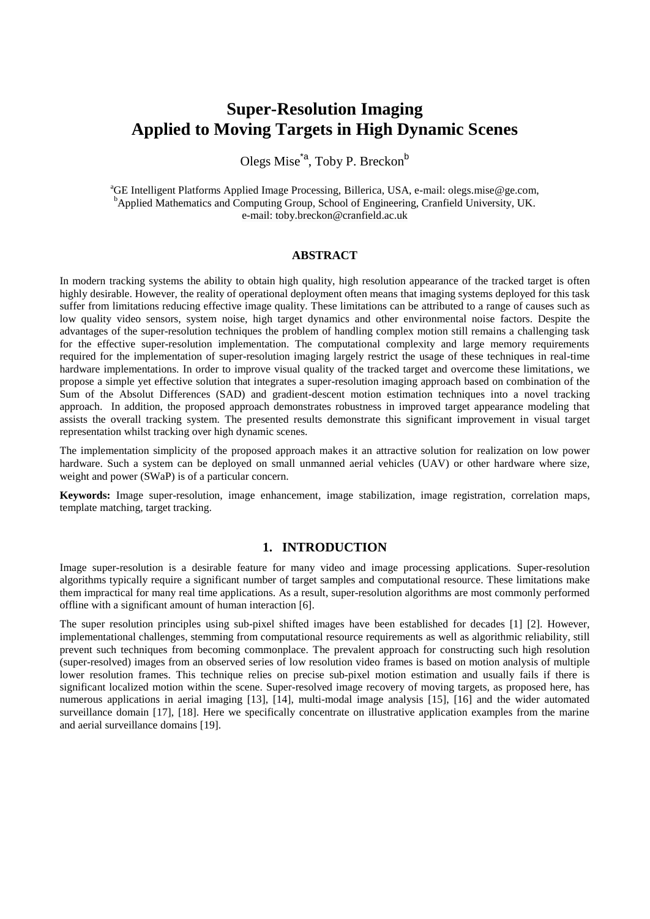# **Super-Resolution Imaging Applied to Moving Targets in High Dynamic Scenes**

Olegs Mise<sup>\*a</sup>, Toby P. Breckon<sup>b</sup>

<sup>a</sup>GE Intelligent Platforms Applied Image Processing, Billerica, USA, e-mail: [olegs.mise@ge.com,](mailto:olegs.mise@ge.com) <sup>b</sup>Applied [Mathematics](http://www.cranfield.ac.uk/soe/amac) and Computing Group, School of [Engineering,](http://www.cranfield.ac.uk/soe/) Cranfield [University,](http://www.cranfield.ac.uk/) UK. e-mail: toby.breckon@cranfield.ac.uk

# **ABSTRACT**

In modern tracking systems the ability to obtain high quality, high resolution appearance of the tracked target is often highly desirable. However, the reality of operational deployment often means that imaging systems deployed for this task suffer from limitations reducing effective image quality. These limitations can be attributed to a range of causes such as low quality video sensors, system noise, high target dynamics and other environmental noise factors. Despite the advantages of the super-resolution techniques the problem of handling complex motion still remains a challenging task for the effective super-resolution implementation. The computational complexity and large memory requirements required for the implementation of super-resolution imaging largely restrict the usage of these techniques in real-time hardware implementations. In order to improve visual quality of the tracked target and overcome these limitations, we propose a simple yet effective solution that integrates a super-resolution imaging approach based on combination of the Sum of the Absolut Differences (SAD) and gradient-descent motion estimation techniques into a novel tracking approach. In addition, the proposed approach demonstrates robustness in improved target appearance modeling that assists the overall tracking system. The presented results demonstrate this significant improvement in visual target representation whilst tracking over high dynamic scenes.

The implementation simplicity of the proposed approach makes it an attractive solution for realization on low power hardware. Such a system can be deployed on small unmanned aerial vehicles (UAV) or other hardware where size, weight and power (SWaP) is of a particular concern.

**Keywords:** Image super-resolution, image enhancement, image stabilization, image registration, correlation maps, template matching, target tracking.

# **1. INTRODUCTION**

Image super-resolution is a desirable feature for many video and image processing applications. Super-resolution algorithms typically require a significant number of target samples and computational resource. These limitations make them impractical for many real time applications. As a result, super-resolution algorithms are most commonly performed offline with a significant amount of human interaction [6].

The super resolution principles using sub-pixel shifted images have been established for decades [1] [2]. However, implementational challenges, stemming from computational resource requirements as well as algorithmic reliability, still prevent such techniques from becoming commonplace. The prevalent approach for constructing such high resolution (super-resolved) images from an observed series of low resolution video frames is based on motion analysis of multiple lower resolution frames. This technique relies on precise sub-pixel motion estimation and usually fails if there is significant localized motion within the scene. Super-resolved image recovery of moving targets, as proposed here, has numerous applications in aerial imaging [13], [14], multi-modal image analysis [15], [16] and the wider automated surveillance domain [17], [18]. Here we specifically concentrate on illustrative application examples from the marine and aerial surveillance domains [19].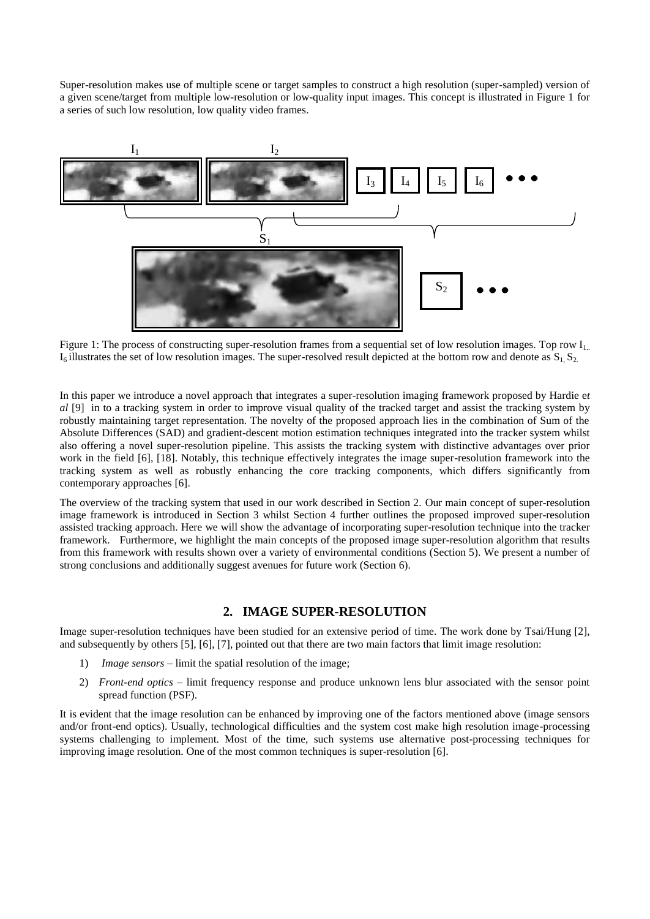Super-resolution makes use of multiple scene or target samples to construct a high resolution (super-sampled) version of a given scene/target from multiple low-resolution or low-quality input images. This concept is illustrated in Figure 1 for a series of such low resolution, low quality video frames.



Figure 1: The process of constructing super-resolution frames from a sequential set of low resolution images. Top row  $I_{1}$ .  $I_6$  illustrates the set of low resolution images. The super-resolved result depicted at the bottom row and denote as  $S_1$ ,  $S_2$ .

In this paper we introduce a novel approach that integrates a super-resolution imaging framework proposed by Hardie e*t al* [9] in to a tracking system in order to improve visual quality of the tracked target and assist the tracking system by robustly maintaining target representation. The novelty of the proposed approach lies in the combination of Sum of the Absolute Differences (SAD) and gradient-descent motion estimation techniques integrated into the tracker system whilst also offering a novel super-resolution pipeline. This assists the tracking system with distinctive advantages over prior work in the field [6], [18]. Notably, this technique effectively integrates the image super-resolution framework into the tracking system as well as robustly enhancing the core tracking components, which differs significantly from contemporary approaches [6].

The overview of the tracking system that used in our work described in Section 2. Our main concept of super-resolution image framework is introduced in Section 3 whilst Section 4 further outlines the proposed improved super-resolution assisted tracking approach. Here we will show the advantage of incorporating super-resolution technique into the tracker framework. Furthermore, we highlight the main concepts of the proposed image super-resolution algorithm that results from this framework with results shown over a variety of environmental conditions (Section 5). We present a number of strong conclusions and additionally suggest avenues for future work (Section 6).

# **2. IMAGE SUPER-RESOLUTION**

Image super-resolution techniques have been studied for an extensive period of time. The work done by Tsai/Hung [2], and subsequently by others [5], [6], [7], pointed out that there are two main factors that limit image resolution:

- 1) *Image sensors* limit the spatial resolution of the image;
- 2) *Front-end optics* limit frequency response and produce unknown lens blur associated with the sensor point spread function (PSF).

It is evident that the image resolution can be enhanced by improving one of the factors mentioned above (image sensors and/or front-end optics). Usually, technological difficulties and the system cost make high resolution image-processing systems challenging to implement. Most of the time, such systems use alternative post-processing techniques for improving image resolution. One of the most common techniques is super-resolution [6].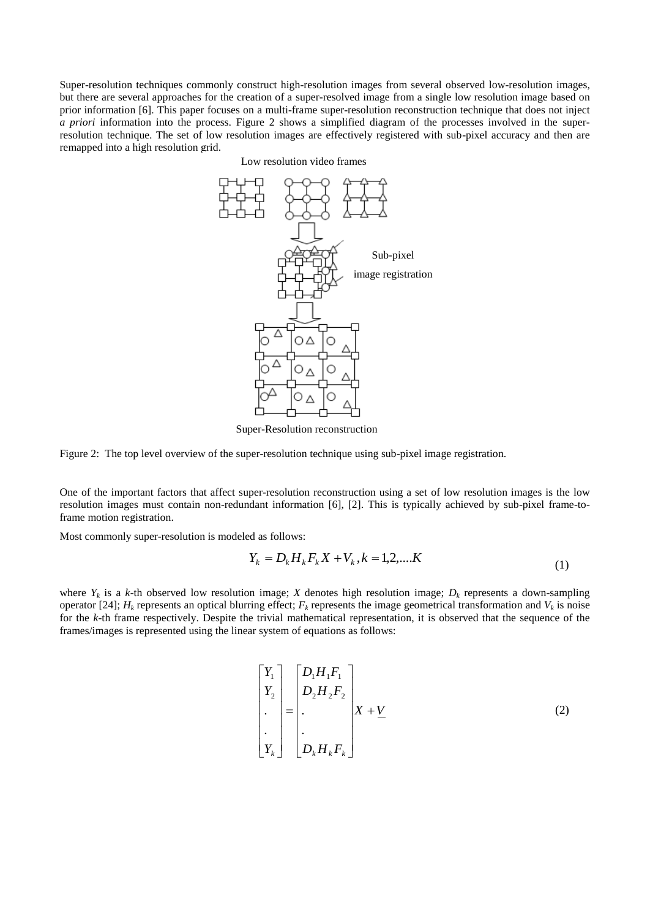Super-resolution techniques commonly construct high-resolution images from several observed low-resolution images, but there are several approaches for the creation of a super-resolved image from a single low resolution image based on prior information [6]. This paper focuses on a multi-frame super-resolution reconstruction technique that does not inject *a priori* information into the process. Figure 2 shows a simplified diagram of the processes involved in the superresolution technique. The set of low resolution images are effectively registered with sub-pixel accuracy and then are remapped into a high resolution grid.

#### Low resolution video frames



Super-Resolution reconstruction

Figure 2: The top level overview of the super-resolution technique using sub-pixel image registration.

One of the important factors that affect super-resolution reconstruction using a set of low resolution images is the low resolution images must contain non-redundant information [6], [2]. This is typically achieved by sub-pixel frame-toframe motion registration.

Most commonly super-resolution is modeled as follows:

$$
Y_k = D_k H_k F_k X + V_k, k = 1, 2, \dots, K
$$
\n(1)

where  $Y_k$  is a *k*-th observed low resolution image; *X* denotes high resolution image;  $D_k$  represents a down-sampling operator [24];  $H_k$  represents an optical blurring effect;  $F_k$  represents the image geometrical transformation and  $V_k$  is noise for the *k*-th frame respectively. Despite the trivial mathematical representation, it is observed that the sequence of the frames/images is represented using the linear system of equations as follows:

$$
\begin{bmatrix} Y_1 \\ Y_2 \\ \vdots \\ Y_k \end{bmatrix} = \begin{bmatrix} D_1 H_1 F_1 \\ D_2 H_2 F_2 \\ \vdots \\ D_k H_k F_k \end{bmatrix} X + \underline{V} \tag{2}
$$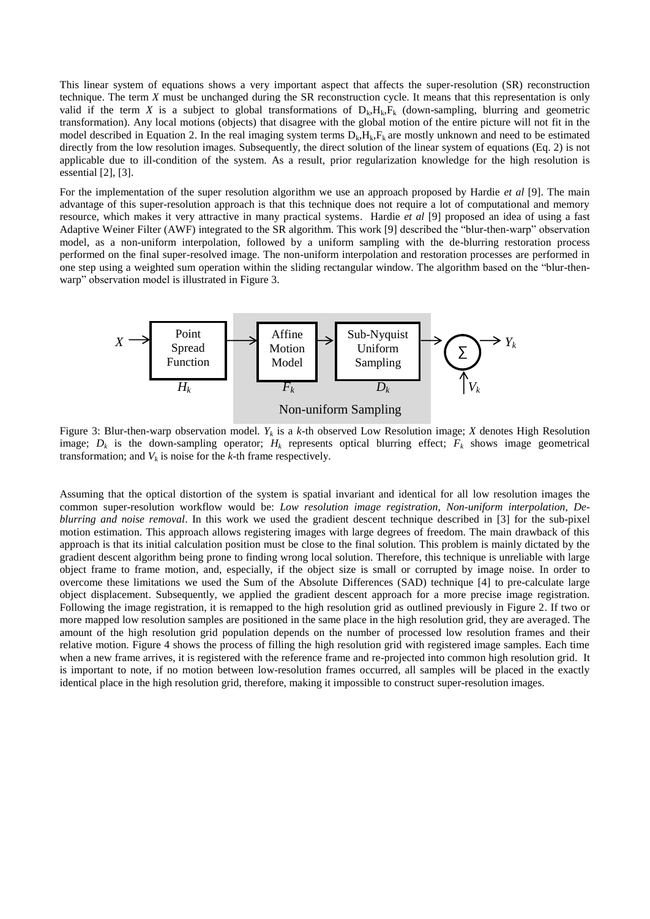This linear system of equations shows a very important aspect that affects the super-resolution (SR) reconstruction technique. The term *X* must be unchanged during the SR reconstruction cycle. It means that this representation is only valid if the term *X* is a subject to global transformations of  $D_k,H_k,F_k$  (down-sampling, blurring and geometric transformation). Any local motions (objects) that disagree with the global motion of the entire picture will not fit in the model described in Equation 2. In the real imaging system terms  $D_k$ ,  $H_k$ ,  $F_k$  are mostly unknown and need to be estimated directly from the low resolution images. Subsequently, the direct solution of the linear system of equations (Eq. 2) is not applicable due to ill-condition of the system. As a result, prior regularization knowledge for the high resolution is essential [2], [3].

For the implementation of the super resolution algorithm we use an approach proposed by Hardie *et al* [9]. The main advantage of this super-resolution approach is that this technique does not require a lot of computational and memory resource, which makes it very attractive in many practical systems. Hardie *et al* [9] proposed an idea of using a fast Adaptive Weiner Filter (AWF) integrated to the SR algorithm. This work [9] described the "blur-then-warp" observation model, as a non-uniform interpolation, followed by a uniform sampling with the de-blurring restoration process performed on the final super-resolved image. The non-uniform interpolation and restoration processes are performed in one step using a weighted sum operation within the sliding rectangular window. The algorithm based on the "blur-thenwarp" observation model is illustrated in Figure 3.



Figure 3: Blur-then-warp observation model. *Y<sup>k</sup>* is a *k*-th observed Low Resolution image; *X* denotes High Resolution image;  $D_k$  is the down-sampling operator;  $H_k$  represents optical blurring effect;  $F_k$  shows image geometrical transformation; and  $V_k$  is noise for the  $k$ -th frame respectively.

Assuming that the optical distortion of the system is spatial invariant and identical for all low resolution images the common super-resolution workflow would be: *Low resolution image registration*, *Non-uniform interpolation*, *Deblurring and noise removal*. In this work we used the gradient descent technique described in [3] for the sub-pixel motion estimation. This approach allows registering images with large degrees of freedom. The main drawback of this approach is that its initial calculation position must be close to the final solution. This problem is mainly dictated by the gradient descent algorithm being prone to finding wrong local solution. Therefore, this technique is unreliable with large object frame to frame motion, and, especially, if the object size is small or corrupted by image noise. In order to overcome these limitations we used the Sum of the Absolute Differences (SAD) technique [4] to pre-calculate large object displacement. Subsequently, we applied the gradient descent approach for a more precise image registration. Following the image registration, it is remapped to the high resolution grid as outlined previously in Figure 2. If two or more mapped low resolution samples are positioned in the same place in the high resolution grid, they are averaged. The amount of the high resolution grid population depends on the number of processed low resolution frames and their relative motion. Figure 4 shows the process of filling the high resolution grid with registered image samples. Each time when a new frame arrives, it is registered with the reference frame and re-projected into common high resolution grid. It is important to note, if no motion between low-resolution frames occurred, all samples will be placed in the exactly identical place in the high resolution grid, therefore, making it impossible to construct super-resolution images.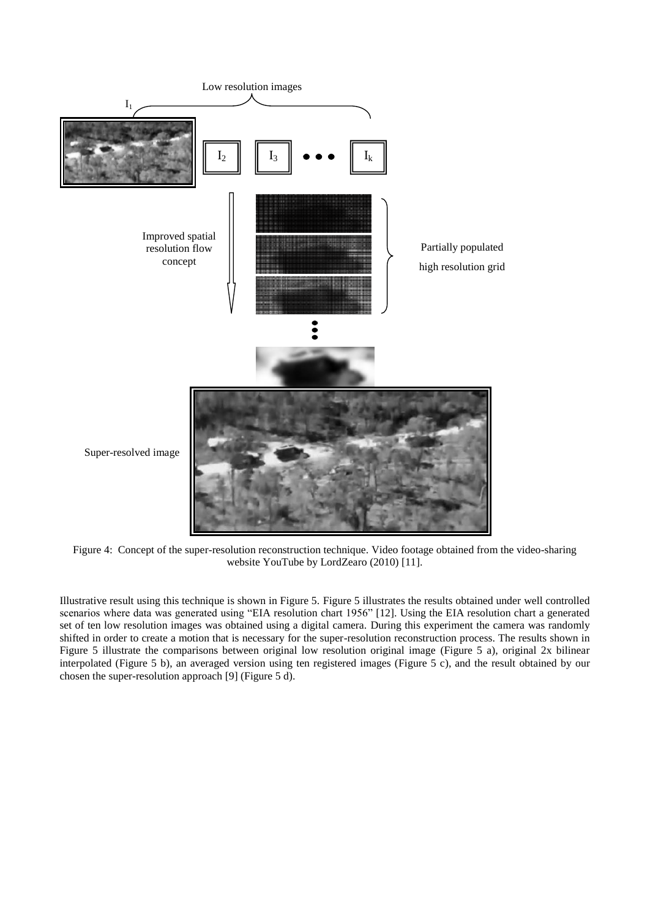

Figure 4: Concept of the super-resolution reconstruction technique. Video footage obtained from the video-sharing website YouTube by LordZearo (2010) [11].

Illustrative result using this technique is shown in Figure 5. Figure 5 illustrates the results obtained under well controlled scenarios where data was generated using "EIA resolution chart 1956" [12]. Using the EIA resolution chart a generated set of ten low resolution images was obtained using a digital camera. During this experiment the camera was randomly shifted in order to create a motion that is necessary for the super-resolution reconstruction process. The results shown in Figure 5 illustrate the comparisons between original low resolution original image (Figure 5 a), original 2x bilinear interpolated (Figure 5 b), an averaged version using ten registered images (Figure 5 c), and the result obtained by our chosen the super-resolution approach [9] (Figure 5 d).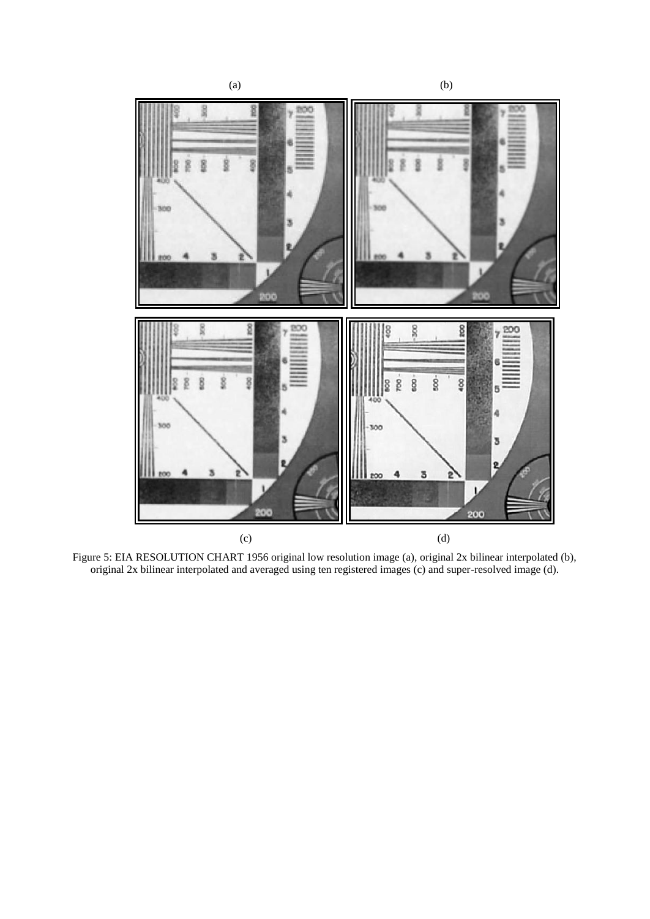

Figure 5: EIA RESOLUTION CHART 1956 original low resolution image (a), original 2x bilinear interpolated (b), original 2x bilinear interpolated and averaged using ten registered images (c) and super-resolved image (d).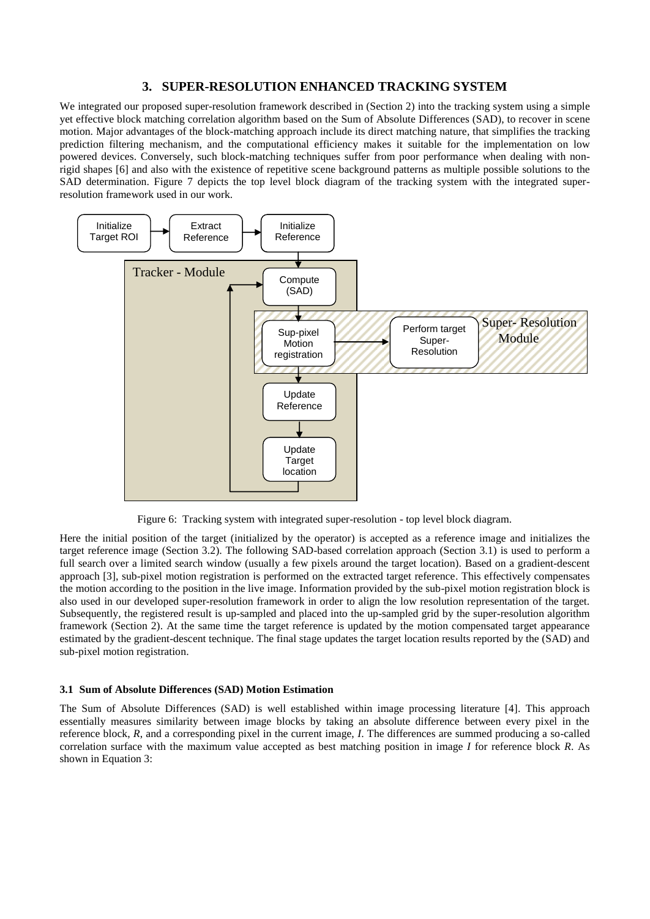# **3. SUPER-RESOLUTION ENHANCED TRACKING SYSTEM**

We integrated our proposed super-resolution framework described in (Section 2) into the tracking system using a simple yet effective block matching correlation algorithm based on the Sum of Absolute Differences (SAD), to recover in scene motion. Major advantages of the block-matching approach include its direct matching nature, that simplifies the tracking prediction filtering mechanism, and the computational efficiency makes it suitable for the implementation on low powered devices. Conversely, such block-matching techniques suffer from poor performance when dealing with nonrigid shapes [6] and also with the existence of repetitive scene background patterns as multiple possible solutions to the SAD determination. Figure 7 depicts the top level block diagram of the tracking system with the integrated superresolution framework used in our work.



Figure 6: Tracking system with integrated super-resolution - top level block diagram.

Here the initial position of the target (initialized by the operator) is accepted as a reference image and initializes the target reference image (Section 3.2). The following SAD-based correlation approach (Section 3.1) is used to perform a full search over a limited search window (usually a few pixels around the target location). Based on a gradient-descent approach [3], sub-pixel motion registration is performed on the extracted target reference. This effectively compensates the motion according to the position in the live image. Information provided by the sub-pixel motion registration block is also used in our developed super-resolution framework in order to align the low resolution representation of the target. Subsequently, the registered result is up-sampled and placed into the up-sampled grid by the super-resolution algorithm framework (Section 2). At the same time the target reference is updated by the motion compensated target appearance estimated by the gradient-descent technique. The final stage updates the target location results reported by the (SAD) and sub-pixel motion registration.

#### **3.1 Sum of Absolute Differences (SAD) Motion Estimation**

The Sum of Absolute Differences (SAD) is well established within image processing literature [4]. This approach essentially measures similarity between image blocks by taking an absolute difference between every pixel in the reference block, *R*, and a corresponding pixel in the current image, *I*. The differences are summed producing a so-called correlation surface with the maximum value accepted as best matching position in image *I* for reference block *R*. As shown in Equation 3: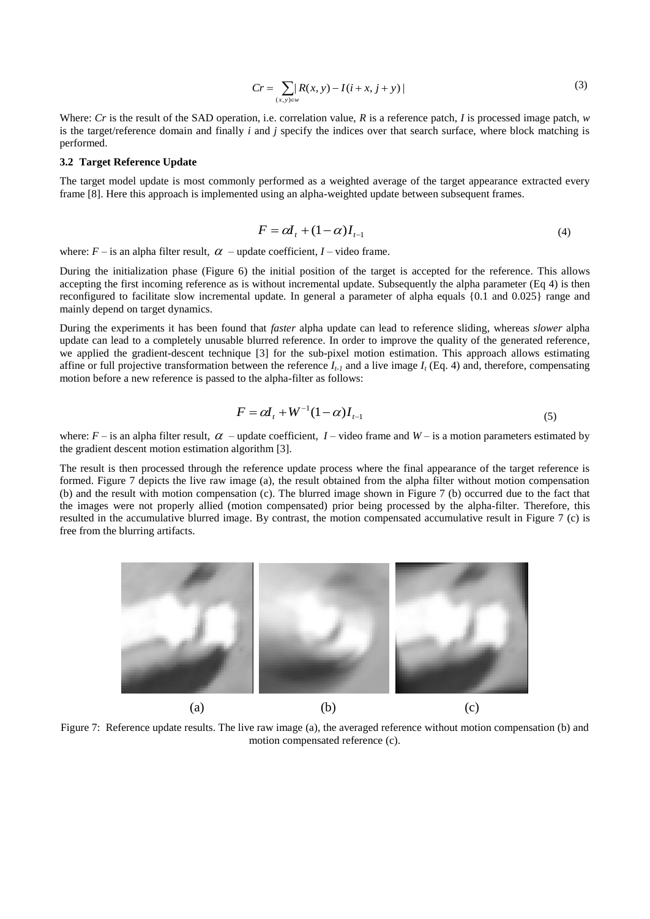$$
Cr = \sum_{(x,y)\in W} |R(x,y) - I(i+x, j+y)|
$$
\n(3)

Where: *Cr* is the result of the SAD operation, i.e. correlation value, *R* is a reference patch, *I* is processed image patch, *w* is the target/reference domain and finally *i* and *j* specify the indices over that search surface, where block matching is performed.

#### **3.2 Target Reference Update**

The target model update is most commonly performed as a weighted average of the target appearance extracted every frame [8]. Here this approach is implemented using an alpha-weighted update between subsequent frames.

$$
F = \alpha I_t + (1 - \alpha)I_{t-1} \tag{4}
$$

where:  $F -$  is an alpha filter result,  $\alpha$  – update coefficient,  $I -$  video frame.

During the initialization phase (Figure 6) the initial position of the target is accepted for the reference. This allows accepting the first incoming reference as is without incremental update. Subsequently the alpha parameter (Eq 4) is then reconfigured to facilitate slow incremental update. In general a parameter of alpha equals {0.1 and 0.025} range and mainly depend on target dynamics.

During the experiments it has been found that *faster* alpha update can lead to reference sliding, whereas *slower* alpha update can lead to a completely unusable blurred reference. In order to improve the quality of the generated reference, we applied the gradient-descent technique [3] for the sub-pixel motion estimation. This approach allows estimating affine or full projective transformation between the reference  $I_{t-1}$  and a live image  $I_t$  (Eq. 4) and, therefore, compensating motion before a new reference is passed to the alpha-filter as follows:

$$
F = \alpha I_t + W^{-1} (1 - \alpha) I_{t-1}
$$
\n(5)

where:  $F -$  is an alpha filter result,  $\alpha$  – update coefficient,  $I -$  video frame and  $W -$  is a motion parameters estimated by the gradient descent motion estimation algorithm [3].

The result is then processed through the reference update process where the final appearance of the target reference is formed. Figure 7 depicts the live raw image (a), the result obtained from the alpha filter without motion compensation (b) and the result with motion compensation (c). The blurred image shown in Figure 7 (b) occurred due to the fact that the images were not properly allied (motion compensated) prior being processed by the alpha-filter. Therefore, this resulted in the accumulative blurred image. By contrast, the motion compensated accumulative result in Figure 7 (c) is free from the blurring artifacts.



Figure 7: Reference update results. The live raw image (a), the averaged reference without motion compensation (b) and motion compensated reference (c).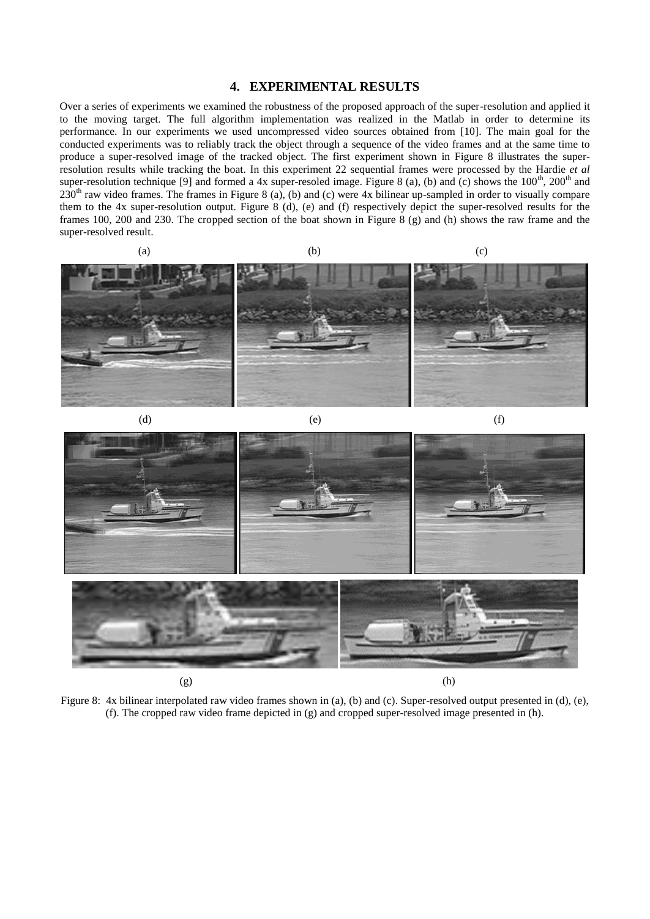# **4. EXPERIMENTAL RESULTS**

Over a series of experiments we examined the robustness of the proposed approach of the super-resolution and applied it to the moving target. The full algorithm implementation was realized in the Matlab in order to determine its performance. In our experiments we used uncompressed video sources obtained from [10]. The main goal for the conducted experiments was to reliably track the object through a sequence of the video frames and at the same time to produce a super-resolved image of the tracked object. The first experiment shown in Figure 8 illustrates the superresolution results while tracking the boat. In this experiment 22 sequential frames were processed by the Hardie *et al* super-resolution technique [9] and formed a 4x super-resoled image. Figure 8 (a), (b) and (c) shows the  $100<sup>th</sup>$ ,  $200<sup>th</sup>$  and  $230<sup>th</sup>$  raw video frames. The frames in Figure 8 (a), (b) and (c) were 4x bilinear up-sampled in order to visually compare them to the 4x super-resolution output. Figure 8 (d), (e) and (f) respectively depict the super-resolved results for the frames 100, 200 and 230. The cropped section of the boat shown in Figure 8 (g) and (h) shows the raw frame and the super-resolved result.





 $(g)$  (h)

Figure 8: 4x bilinear interpolated raw video frames shown in (a), (b) and (c). Super-resolved output presented in (d), (e), (f). The cropped raw video frame depicted in (g) and cropped super-resolved image presented in (h).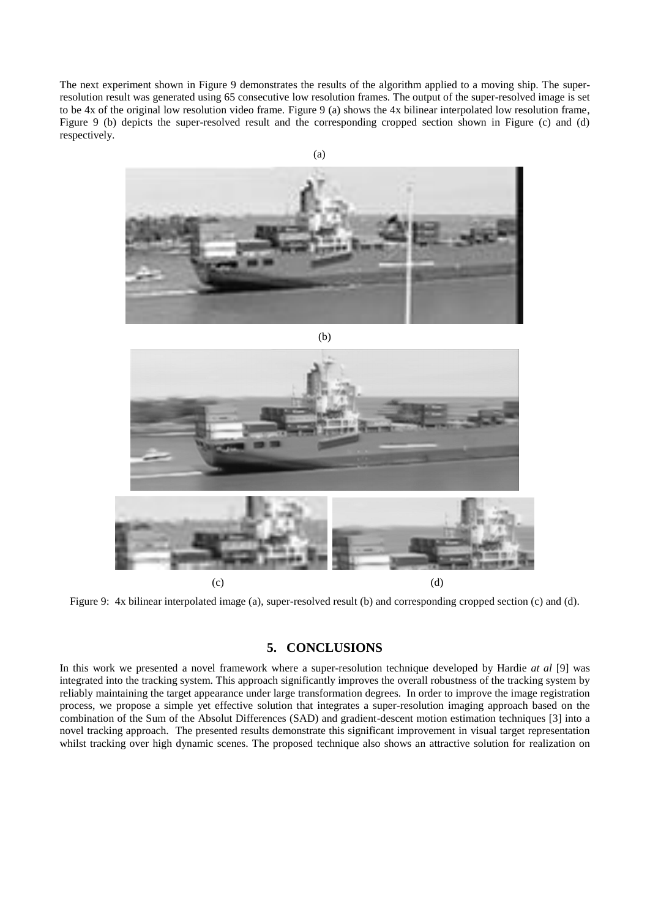The next experiment shown in Figure 9 demonstrates the results of the algorithm applied to a moving ship. The superresolution result was generated using 65 consecutive low resolution frames. The output of the super-resolved image is set to be 4x of the original low resolution video frame. Figure 9 (a) shows the 4x bilinear interpolated low resolution frame, Figure 9 (b) depicts the super-resolved result and the corresponding cropped section shown in Figure (c) and (d) respectively.



(b)





Figure 9: 4x bilinear interpolated image (a), super-resolved result (b) and corresponding cropped section (c) and (d).

# **5. CONCLUSIONS**

In this work we presented a novel framework where a super-resolution technique developed by Hardie *at al* [9] was integrated into the tracking system. This approach significantly improves the overall robustness of the tracking system by reliably maintaining the target appearance under large transformation degrees. In order to improve the image registration process, we propose a simple yet effective solution that integrates a super-resolution imaging approach based on the combination of the Sum of the Absolut Differences (SAD) and gradient-descent motion estimation techniques [3] into a novel tracking approach. The presented results demonstrate this significant improvement in visual target representation whilst tracking over high dynamic scenes. The proposed technique also shows an attractive solution for realization on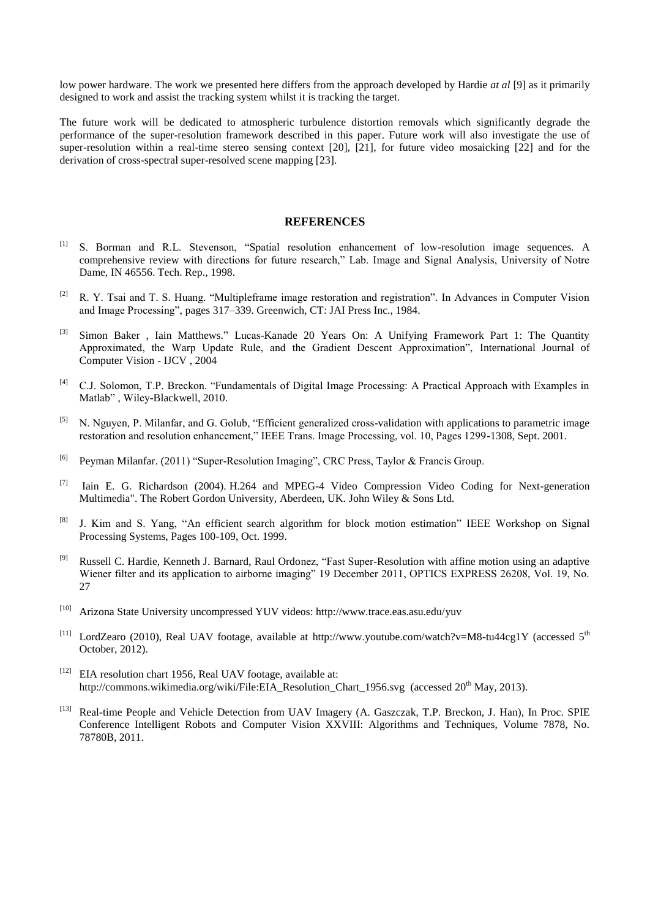low power hardware. The work we presented here differs from the approach developed by Hardie *at al* [9] as it primarily designed to work and assist the tracking system whilst it is tracking the target.

The future work will be dedicated to atmospheric turbulence distortion removals which significantly degrade the performance of the super-resolution framework described in this paper. Future work will also investigate the use of super-resolution within a real-time stereo sensing context [20], [21], for future video mosaicking [22] and for the derivation of cross-spectral super-resolved scene mapping [23].

### **REFERENCES**

- [1] S. Borman and R.L. Stevenson, "Spatial resolution enhancement of low-resolution image sequences. A comprehensive review with directions for future research," Lab. Image and Signal Analysis, University of Notre Dame, IN 46556. Tech. Rep., 1998.
- [2] R. Y. Tsai and T. S. Huang. "Multipleframe image restoration and registration". In Advances in Computer Vision and Image Processing", pages 317–339. Greenwich, CT: JAI Press Inc., 1984.
- [3] Simon Baker, Iain Matthews." Lucas-Kanade 20 Years On: A Unifying Framework Part 1: The Quantity Approximated, the Warp Update Rule, and the Gradient Descent Approximation", [International Journal of](http://libra.msra.cn/Journal/373/ijcv-international-journal-of-computer-vision)  [Computer Vision -](http://libra.msra.cn/Journal/373/ijcv-international-journal-of-computer-vision) IJCV , 2004
- [4] C.J. Solomon, T.P. Breckon. "Fundamentals of Digital Image Processing: A Practical Approach with Examples in Matlab" , Wiley-Blackwell, 2010.
- [5] N. Nguyen, P. Milanfar, and G. Golub, "Efficient generalized cross-validation with applications to parametric image restoration and resolution enhancement," IEEE Trans. Image Processing, vol. 10, Pages 1299-1308, Sept. 2001.
- [6] Peyman Milanfar. (2011) "Super-Resolution Imaging", CRC Press, Taylor & Francis Group.
- [7] Iain E. G. Richardson (2004). [H.264 and MPEG-4 Video Compression Video Coding for Next-generation](http://doi.ieeecs.org/10.1109/ICCV.1999.790410)  [Multimedia".](http://doi.ieeecs.org/10.1109/ICCV.1999.790410) The Robert Gordon University, Aberdeen, UK. John Wiley & Sons Ltd.
- [8] J. Kim and S. Yang, "An efficient search algorithm for block motion estimation" IEEE Workshop on Signal Processing Systems, Pages 100-109, Oct. 1999.
- [9] Russell C. Hardie, Kenneth J. Barnard, Raul Ordonez, "Fast Super-Resolution with affine motion using an adaptive Wiener filter and its application to airborne imaging" 19 December 2011, OPTICS EXPRESS 26208, Vol. 19, No. 27
- [10] Arizona State University uncompressed YUV videos: http://www.trace.eas.asu.edu/yuv
- [11] LordZearo (2010), Real UAV footage, available at<http://www.youtube.com/watch?v=M8-tu44cg1Y> (accessed 5<sup>th</sup> October, 2012).
- [12] EIA resolution chart 1956, Real UAV footage, available at: [http://commons.wikimedia.org/wiki/File:EIA\\_Resolution\\_Chart\\_1956.svg](http://commons.wikimedia.org/wiki/File:EIA_Resolution_Chart_1956.svg) (accessed 20<sup>th</sup> May, 2013).
- [13] Real-time People and Vehicle Detection from UAV Imagery (A. Gaszczak, T.P. Breckon, J. Han), In Proc. SPIE Conference Intelligent Robots and Computer Vision XXVIII: Algorithms and Techniques, Volume 7878, No. 78780B, 2011.